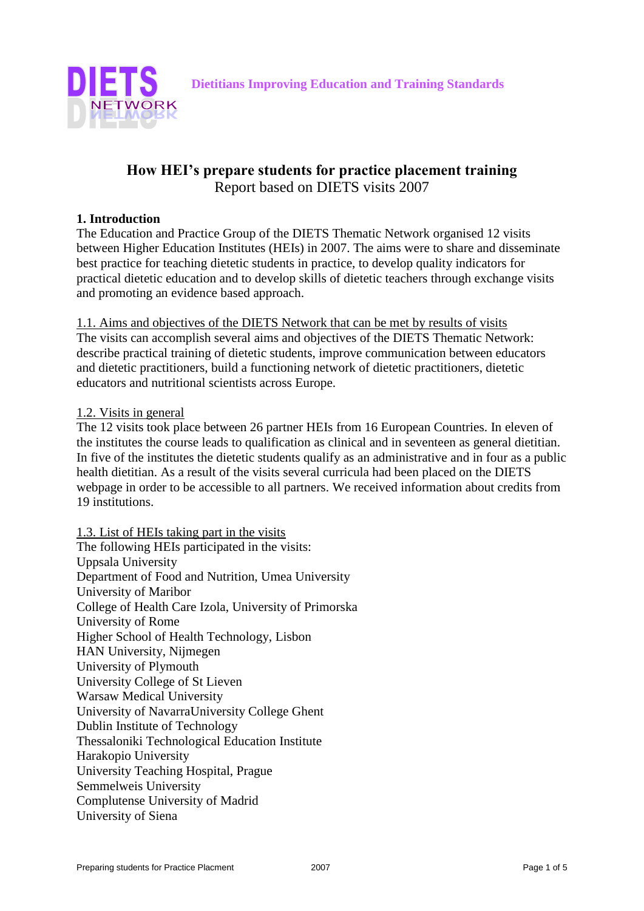



# **How HEI's prepare students for practice placement training** Report based on DIETS visits 2007

#### **1. Introduction**

The Education and Practice Group of the DIETS Thematic Network organised 12 visits between Higher Education Institutes (HEIs) in 2007. The aims were to share and disseminate best practice for teaching dietetic students in practice, to develop quality indicators for practical dietetic education and to develop skills of dietetic teachers through exchange visits and promoting an evidence based approach.

1.1. Aims and objectives of the DIETS Network that can be met by results of visits The visits can accomplish several aims and objectives of the DIETS Thematic Network: describe practical training of dietetic students, improve communication between educators and dietetic practitioners, build a functioning network of dietetic practitioners, dietetic educators and nutritional scientists across Europe.

#### 1.2. Visits in general

The 12 visits took place between 26 partner HEIs from 16 European Countries. In eleven of the institutes the course leads to qualification as clinical and in seventeen as general dietitian. In five of the institutes the dietetic students qualify as an administrative and in four as a public health dietitian. As a result of the visits several curricula had been placed on the DIETS webpage in order to be accessible to all partners. We received information about credits from 19 institutions.

1.3. List of HEIs taking part in the visits The following HEIs participated in the visits: Uppsala University Department of Food and Nutrition, Umea University University of Maribor College of Health Care Izola, University of Primorska University of Rome Higher School of Health Technology, Lisbon HAN University, Nijmegen University of Plymouth University College of St Lieven Warsaw Medical University University of NavarraUniversity College Ghent Dublin Institute of Technology Thessaloniki Technological Education Institute Harakopio University University Teaching Hospital, Prague Semmelweis University Complutense University of Madrid University of Siena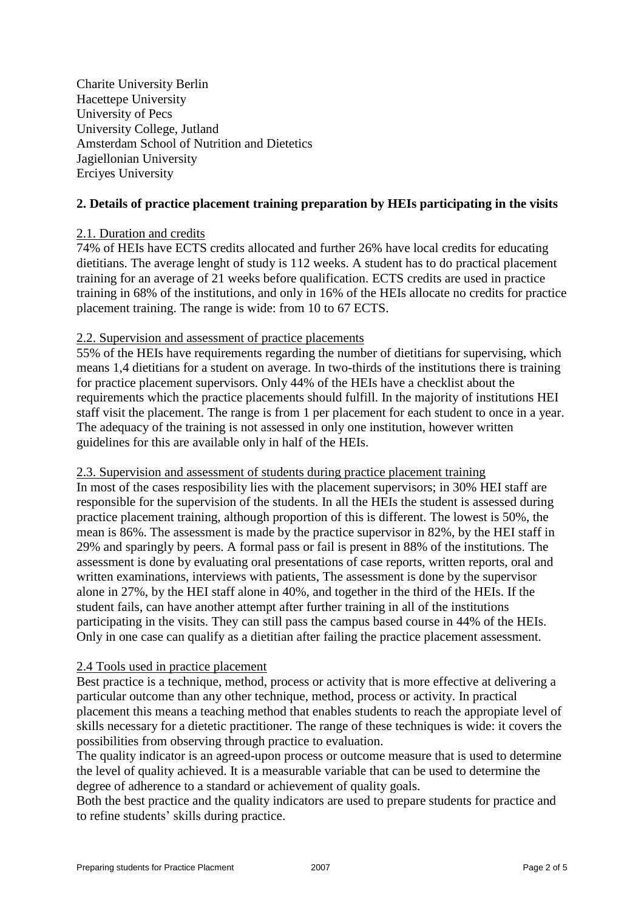Charite University Berlin Hacettepe University University of Pecs University College, Jutland Amsterdam School of Nutrition and Dietetics Jagiellonian University Erciyes University

#### **2. Details of practice placement training preparation by HEIs participating in the visits**

#### 2.1. Duration and credits

74% of HEIs have ECTS credits allocated and further 26% have local credits for educating dietitians. The average lenght of study is 112 weeks. A student has to do practical placement training for an average of 21 weeks before qualification. ECTS credits are used in practice training in 68% of the institutions, and only in 16% of the HEIs allocate no credits for practice placement training. The range is wide: from 10 to 67 ECTS.

#### 2.2. Supervision and assessment of practice placements

55% of the HEIs have requirements regarding the number of dietitians for supervising, which means 1,4 dietitians for a student on average. In two-thirds of the institutions there is training for practice placement supervisors. Only 44% of the HEIs have a checklist about the requirements which the practice placements should fulfill. In the majority of institutions HEI staff visit the placement. The range is from 1 per placement for each student to once in a year. The adequacy of the training is not assessed in only one institution, however written guidelines for this are available only in half of the HEIs.

2.3. Supervision and assessment of students during practice placement training In most of the cases resposibility lies with the placement supervisors; in 30% HEI staff are responsible for the supervision of the students. In all the HEIs the student is assessed during practice placement training, although proportion of this is different. The lowest is 50%, the mean is 86%. The assessment is made by the practice supervisor in 82%, by the HEI staff in 29% and sparingly by peers. A formal pass or fail is present in 88% of the institutions. The

assessment is done by evaluating oral presentations of case reports, written reports, oral and written examinations, interviews with patients, The assessment is done by the supervisor alone in 27%, by the HEI staff alone in 40%, and together in the third of the HEIs. If the student fails, can have another attempt after further training in all of the institutions participating in the visits. They can still pass the campus based course in 44% of the HEIs. Only in one case can qualify as a dietitian after failing the practice placement assessment.

## 2.4 Tools used in practice placement

Best practice is a technique, method, process or activity that is more effective at delivering a particular outcome than any other technique, method, process or activity. In practical placement this means a teaching method that enables students to reach the appropiate level of skills necessary for a dietetic practitioner. The range of these techniques is wide: it covers the possibilities from observing through practice to evaluation.

The quality indicator is an agreed-upon process or outcome measure that is used to determine the level of quality achieved. It is a measurable variable that can be used to determine the degree of adherence to a standard or achievement of quality goals.

Both the best practice and the quality indicators are used to prepare students for practice and to refine students' skills during practice.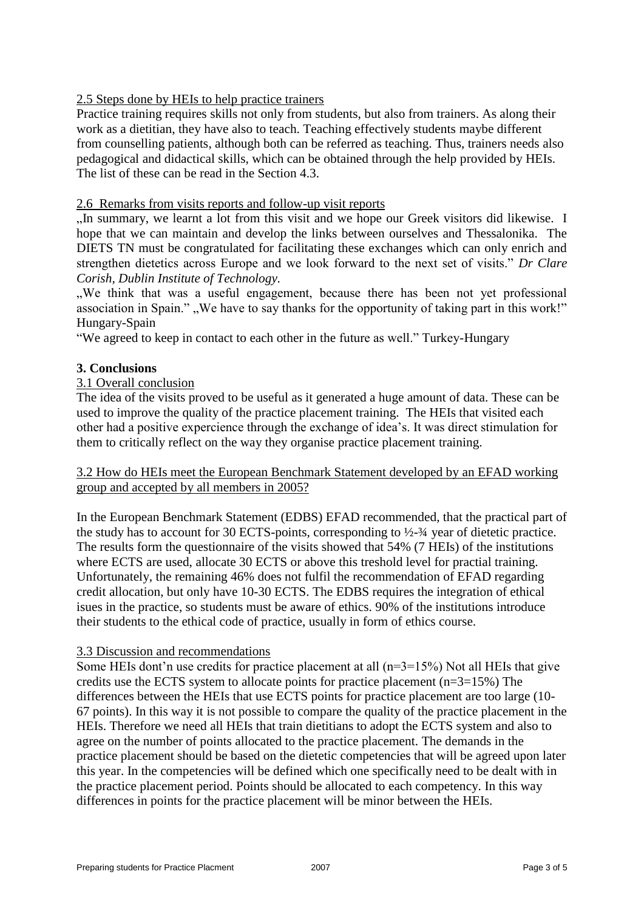# 2.5 Steps done by HEIs to help practice trainers

Practice training requires skills not only from students, but also from trainers. As along their work as a dietitian, they have also to teach. Teaching effectively students maybe different from counselling patients, although both can be referred as teaching. Thus, trainers needs also pedagogical and didactical skills, which can be obtained through the help provided by HEIs. The list of these can be read in the Section 4.3.

## 2.6 Remarks from visits reports and follow-up visit reports

"In summary, we learnt a lot from this visit and we hope our Greek visitors did likewise. I hope that we can maintain and develop the links between ourselves and Thessalonika. The DIETS TN must be congratulated for facilitating these exchanges which can only enrich and strengthen dietetics across Europe and we look forward to the next set of visits." *Dr Clare Corish, Dublin Institute of Technology.*

We think that was a useful engagement, because there has been not yet professional association in Spain." "We have to say thanks for the opportunity of taking part in this work!" Hungary-Spain

"We agreed to keep in contact to each other in the future as well." Turkey-Hungary

## **3. Conclusions**

#### 3.1 Overall conclusion

The idea of the visits proved to be useful as it generated a huge amount of data. These can be used to improve the quality of the practice placement training. The HEIs that visited each other had a positive expercience through the exchange of idea's. It was direct stimulation for them to critically reflect on the way they organise practice placement training.

#### 3.2 How do HEIs meet the European Benchmark Statement developed by an EFAD working group and accepted by all members in 2005?

In the European Benchmark Statement (EDBS) EFAD recommended, that the practical part of the study has to account for 30 ECTS-points, corresponding to  $\frac{1}{2}$ - $\frac{3}{4}$  year of dietetic practice. The results form the questionnaire of the visits showed that 54% (7 HEIs) of the institutions where ECTS are used, allocate 30 ECTS or above this treshold level for practial training. Unfortunately, the remaining 46% does not fulfil the recommendation of EFAD regarding credit allocation, but only have 10-30 ECTS. The EDBS requires the integration of ethical isues in the practice, so students must be aware of ethics. 90% of the institutions introduce their students to the ethical code of practice, usually in form of ethics course.

## 3.3 Discussion and recommendations

Some HEIs dont'n use credits for practice placement at all  $(n=3=15%)$  Not all HEIs that give credits use the ECTS system to allocate points for practice placement  $(n=3=15%)$  The differences between the HEIs that use ECTS points for practice placement are too large (10- 67 points). In this way it is not possible to compare the quality of the practice placement in the HEIs. Therefore we need all HEIs that train dietitians to adopt the ECTS system and also to agree on the number of points allocated to the practice placement. The demands in the practice placement should be based on the dietetic competencies that will be agreed upon later this year. In the competencies will be defined which one specifically need to be dealt with in the practice placement period. Points should be allocated to each competency. In this way differences in points for the practice placement will be minor between the HEIs.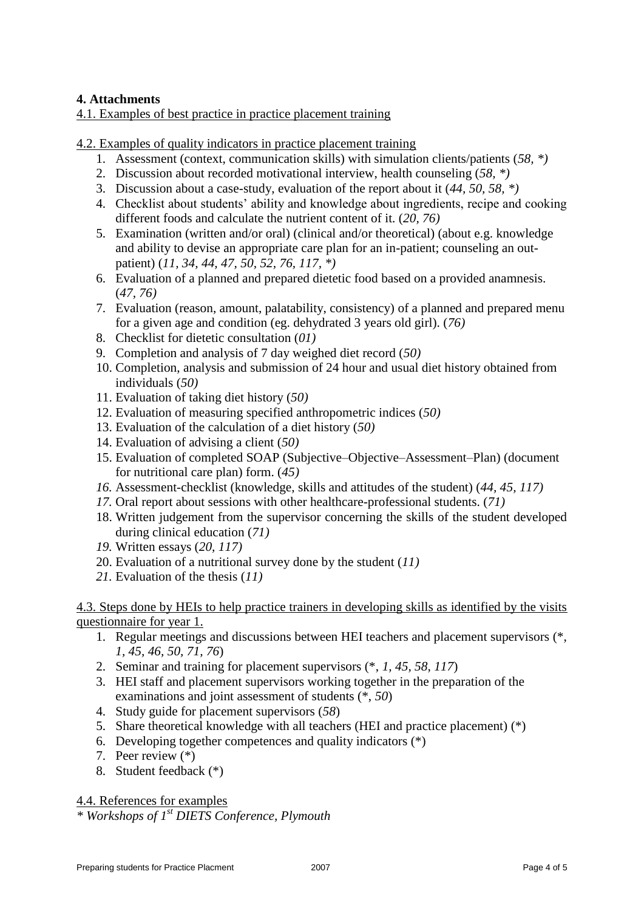## **4. Attachments**

4.1. Examples of best practice in practice placement training

4.2. Examples of quality indicators in practice placement training

- 1. Assessment (context, communication skills) with simulation clients/patients (*58, \*)*
- 2. Discussion about recorded motivational interview, health counseling (*58, \*)*
- 3. Discussion about a case-study, evaluation of the report about it (*44, 50, 58, \*)*
- 4. Checklist about students' ability and knowledge about ingredients, recipe and cooking different foods and calculate the nutrient content of it. (*20, 76)*
- 5. Examination (written and/or oral) (clinical and/or theoretical) (about e.g. knowledge and ability to devise an appropriate care plan for an in-patient; counseling an outpatient) (*11, 34, 44, 47, 50, 52, 76, 117, \*)*
- 6. Evaluation of a planned and prepared dietetic food based on a provided anamnesis. (*47, 76)*
- 7. Evaluation (reason, amount, palatability, consistency) of a planned and prepared menu for a given age and condition (eg. dehydrated 3 years old girl). (*76)*
- 8. Checklist for dietetic consultation (*01)*
- 9. Completion and analysis of 7 day weighed diet record (*50)*
- 10. Completion, analysis and submission of 24 hour and usual diet history obtained from individuals (*50)*
- 11. Evaluation of taking diet history (*50)*
- 12. Evaluation of measuring specified anthropometric indices (*50)*
- 13. Evaluation of the calculation of a diet history (*50)*
- 14. Evaluation of advising a client (*50)*
- 15. Evaluation of completed SOAP (Subjective–Objective–Assessment–Plan) (document for nutritional care plan) form. (*45)*
- *16.* Assessment-checklist (knowledge, skills and attitudes of the student) (*44, 45, 117)*
- *17.* Oral report about sessions with other healthcare-professional students. (*71)*
- 18. Written judgement from the supervisor concerning the skills of the student developed during clinical education (*71)*
- *19.* Written essays (*20, 117)*
- 20. Evaluation of a nutritional survey done by the student (*11)*
- *21.* Evaluation of the thesis (*11)*

## 4.3. Steps done by HEIs to help practice trainers in developing skills as identified by the visits questionnaire for year 1.

- 1. Regular meetings and discussions between HEI teachers and placement supervisors (\*, *1, 45, 46, 50, 71, 76*)
- 2. Seminar and training for placement supervisors (\*, *1, 45, 58, 117*)
- 3. HEI staff and placement supervisors working together in the preparation of the examinations and joint assessment of students (\*, *50*)
- 4. Study guide for placement supervisors (*58*)
- 5. Share theoretical knowledge with all teachers (HEI and practice placement) (\*)
- 6. Developing together competences and quality indicators (\*)
- 7. Peer review (\*)
- 8. Student feedback (\*)

4.4. References for examples

*\* Workshops of 1st DIETS Conference, Plymouth*